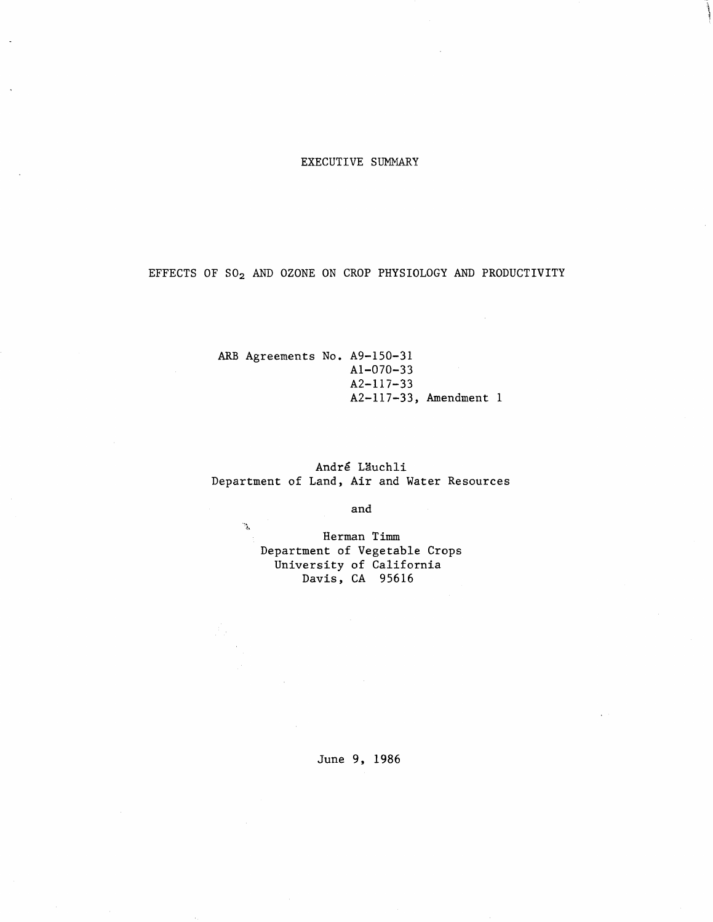# EXECUTIVE SUMMARY

EFFECTS OF SO2 AND OZONE ON CROP PHYSIOLOGY AND PRODUCTIVITY

ARB Agreements No. A9-15O-31 Al-O7O-33  $A2-117-33$ AZ-117-33, Amendment 1

André Läuchli Department of Land, Air and Water Resources

and

Herman Timm Department of Vegetable Crops University of California Davis, CA 95616

 $\mathcal{R}^{\mathcal{C}}$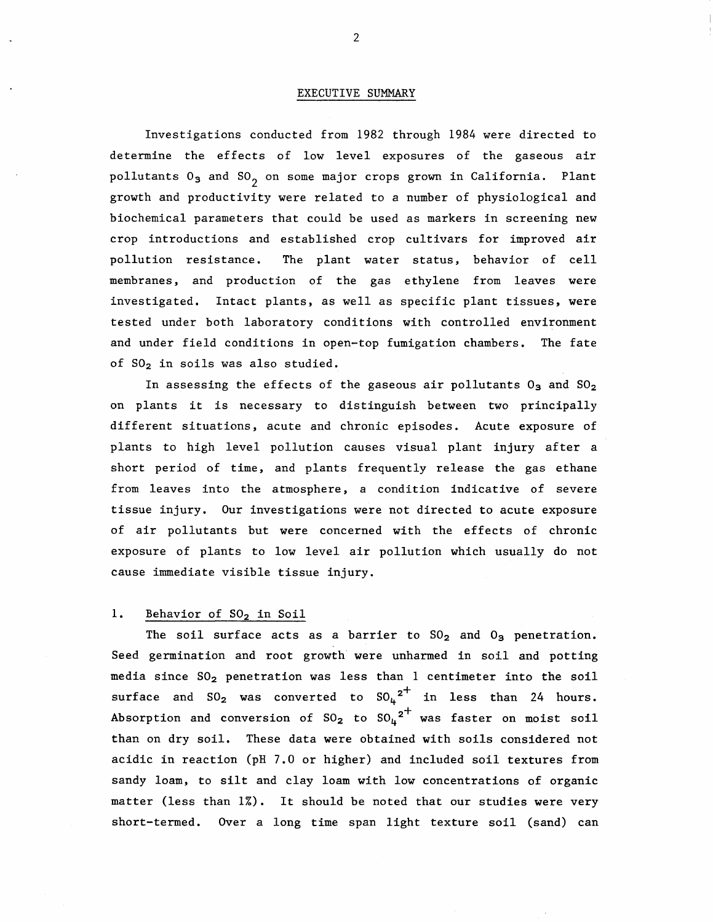#### EXECUTIVE SUMMARY

Investigations conducted from 1982 through 1984 were directed to determine the effects of low level exposures of the gaseous air pollutants  $0_3$  and  $SO_2$  on some major crops grown in California. Plant growth and productivity were related to a number of physiological and biochemical parameters that could be used as markers in screening new crop introductions and established crop cultivars for improved air pollution resistance. The plant water status, behavior of cell membranes, and production of the gas ethylene from leaves were investigated. Intact plants, as well as specific plant tissues, were tested under both laboratory conditions with controlled environment and under field conditions in open-top fumigation chambers. The fate of S02 in soils was also studied.

In assessing the effects of the gaseous air pollutants  $0_3$  and  $S0_2$ on plants it is necessary to distinguish between two principally different situations, acute and chronic episodes. Acute exposure of plants to high level pollution causes visual plant injury after a short period of time, and plants frequently release the gas ethane from leaves into the atmosphere, a condition indicative of severe tissue injury. Our investigations were not directed to acute exposure of air pollutants but were concerned with the effects of chronic exposure of plants to low level air pollution which usually do not cause immediate visible tissue injury.

## 1. Behavior of SO<sub>2</sub> in Soil

The soil surface acts as a barrier to  $SO_2$  and  $O_3$  penetration. Seed germination and root growth were unharmed in soil and potting media since  $SO_2$  penetration was less than 1 centimeter into the soil surface and  $SO_2$  was converted to  $SO_4$ <sup>2<sup>+</sup> in less than 24 hours.</sup> Absorption and conversion of  ${\rm SO_2}$  to  ${\rm SO_4}^{\texttt{2}^+}$  was faster on moist soil than on dry soil. These data were obtained with soils considered not acidic in reaction (pH 7.0 or higher) and included soil textures from sandy loam, to silt and clay loam with low concentrations of organic matter (less than 1%). It should be noted that our studies were very short-termed. Over a long time span light texture soil (sand) can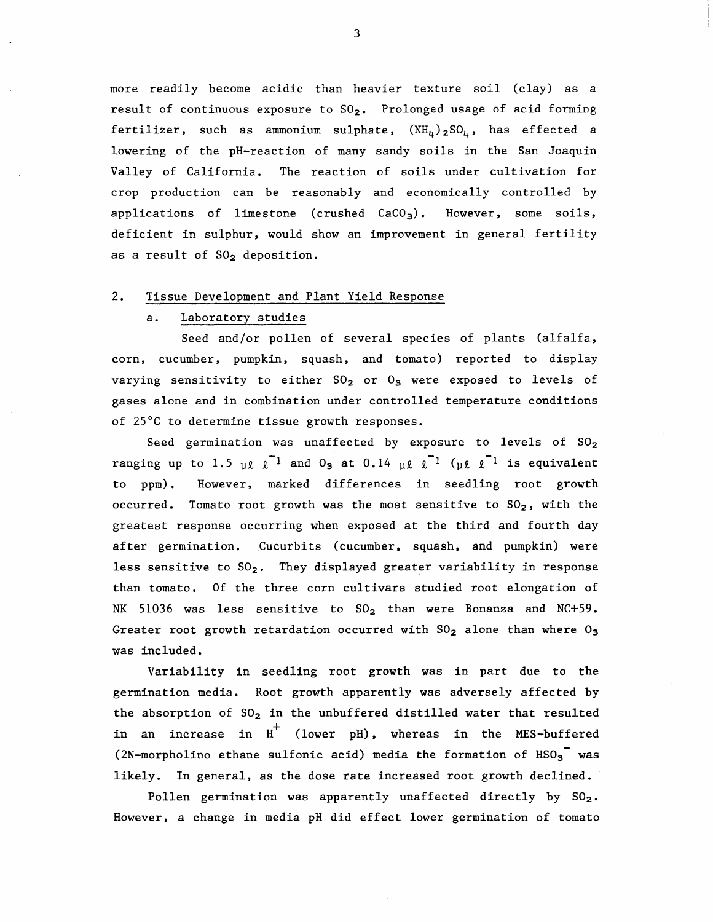more readily become acidic than heavier texture soil (clay) as a result of continuous exposure to  $SO_2$ . Prolonged usage of acid forming fertilizer, such as ammonium sulphate,  $(NH<sub>u</sub>)<sub>2</sub>SO<sub>u</sub>$ , has effected a lowering of the pH-reaction of many sandy soils in the San Joaquin Valley of California. The reaction of soils under cultivation for crop production can be reasonably and economically controlled by applications of limestone (crushed  $CaCO<sub>3</sub>$ ). However, some soils, deficient in sulphur, would show an improvement in general fertility as a result of  $SO<sub>2</sub>$  deposition.

## 2. Tissue Development and Plant Yield Response

### a. Laboratory studies

Seed and/or pollen of several species of plants (alfalfa, corn, cucumber, pumpkin, squash, and tomato) reported to display varying sensitivity to either  $SO_2$  or  $O_3$  were exposed to levels of gases alone and in combination under controlled temperature conditions of 25°C to determine tissue growth responses.

Seed germination was unaffected by exposure to levels of  $SO_2$ ranging up to 1.5  $\mu \ell \ell^{-1}$  and 0<sub>3</sub> at 0.14  $\mu \ell \ell^{-1}$  ( $\mu \ell \ell^{-1}$  is equivalent to ppm). However, marked differences in seedling root growth occurred. Tomato root growth was the most sensitive to  $SO_2$ , with the greatest response occurring when exposed at the third and fourth day after germination. Cucurbits (cucumber, squash, and pumpkin) were less sensitive to  $SO_2$ . They displayed greater variability in response than tomato. Of the three corn cultivars studied root elongation of NK 51036 was less sensitive to  $SO_2$  than were Bonanza and NC+59. Greater root growth retardation occurred with  $SO_2$  alone than where  $O_3$ was included.

Variability in seedling root growth was in part due to the germination media. Root growth apparently was adversely affected by the absorption of  $SO_2$  in the unbuffered distilled water that resulted in an increase in  $H^+$  (lower pH), whereas in the MES-buffered (2N-morpholino ethane sulfonic acid) media the formation of  $HSO_3$  was likely. In general, as the dose rate increased root growth declined.

Pollen germination was apparently unaffected directly by  $SO_2$ . However, a change in media pH did effect lower germination of tomato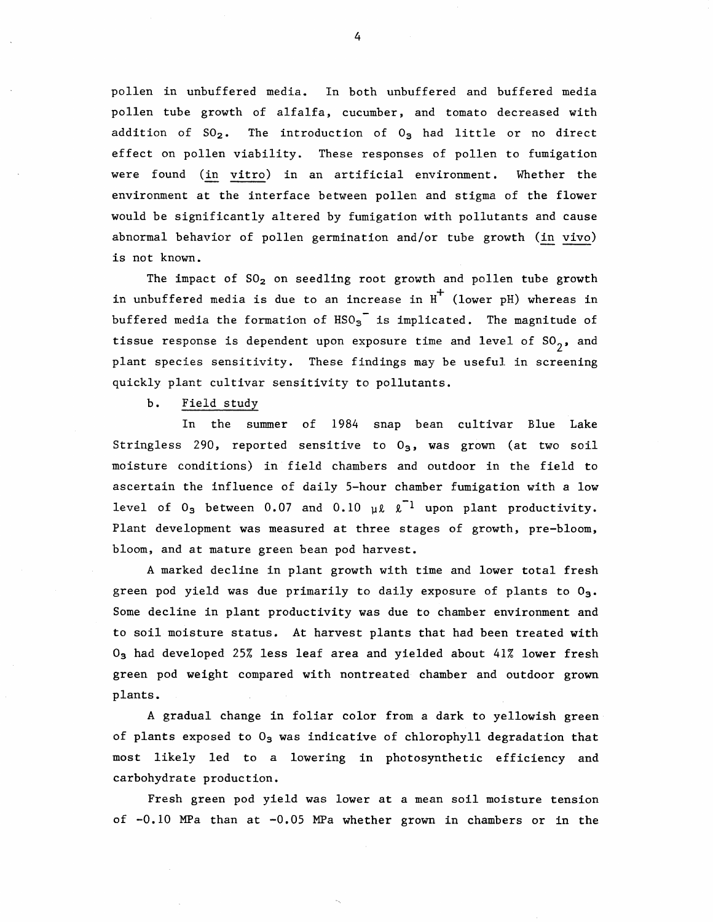pollen in unbuffered media. In both unbuffered and buffered media pollen tube growth of alfalfa, cucumber, and tomato decreased with addition of  $SO_2$ . The introduction of  $O_3$  had little or no direct effect on pollen viability. These responses of pollen to fumigation were found (in vitro) in an artificial environment. Whether the environment at the interface between pollen and stigma of the flower would be significantly altered by fumigation with pollutants and cause abnormal behavior of pollen germination and/or tube growth (in vivo) is not known.

The impact of  $SO_2$  on seedling root growth and pollen tube growth in unbuffered media is due to an increase in  $H^+$  (lower pH) whereas in buffered media the formation of  $HSO_3$ <sup>-</sup> is implicated. The magnitude of tissue response is dependent upon exposure time and level of  $so<sub>2</sub>$ , and plant species sensitivity. These findings may be useful in screening quickly plant cultivar sensitivity to pollutants.

b. Field study

In the summer of 1984 snap bean cultivar Blue Lake Stringless 290, reported sensitive to  $0<sub>3</sub>$ , was grown (at two soil moisture conditions) in field chambers and outdoor in the field to ascertain the influence of daily 5-hour chamber fumigation with a low level of  $0_3$  between 0.07 and 0.10  $\mu\ell$   $\ell$ <sup>1</sup> upon plant productivity. Plant development was measured at three stages of growth, pre-bloom, bloom, and at mature green bean pod harvest.

A marked decline in plant growth with time and lower total fresh green pod yield was due primarily to daily exposure of plants to  $0_3$ . Some decline in plant productivity was due to chamber environment and to soil moisture status. At harvest plants that had been treated with  $0<sub>3</sub>$  had developed 25% less leaf area and yielded about 41% lower fresh green pod weight compared with nontreated chamber and outdoor grown plants.

A gradual change in foliar color from a dark to yellowish green of plants exposed to  $0<sub>3</sub>$  was indicative of chlorophyll degradation that most likely led to a lowering in photosynthetic efficiency and carbohydrate production.

Fresh green pod yield was lower at a mean soil moisture tension of -0. 10 MPa than at -0. 05 MPa whether grown in chambers or in the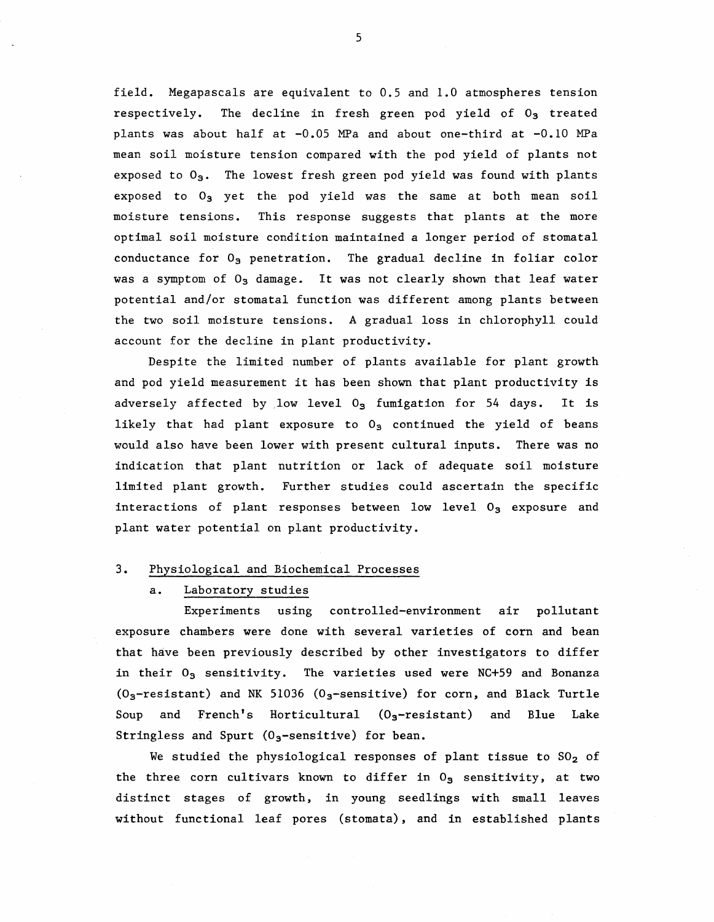field. Megapascals are equivalent to 0.5 and 1.0 atmospheres tension respectively. The decline in fresh green pod yield of  $0<sub>3</sub>$  treated plants was about half at -0.05 MPa and about one-third at -0.10 MPa mean soil moisture tension compared with the pod yield of plants not exposed to  $O_3$ . The lowest fresh green pod yield was found with plants exposed to  $O_3$  yet the pod yield was the same at both mean soil moisture tensions. This response suggests that plants at the more optimal soil moisture condition maintained a longer period of stomatal conductance for  $O_3$  penetration. The gradual decline in foliar color was a symptom of  $0_3$  damage. It was not clearly shown that leaf water potential and/or stomatal function was different among plants between the two soil moisture tensions. A gradual loss in chlorophyll could account for the decline in plant productivity.

Despite the limited number of plants available for plant growth and pod yield measurement it has been shown that plant productivity is adversely affected by low level  $0<sub>3</sub>$  fumigation for 54 days. It is likely that had plant exposure to  $0<sub>3</sub>$  continued the yield of beans would also have been lower with present cultural inputs. There was no indication that plant nutrition or lack of adequate soil moisture limited plant growth. Further studies could ascertain the specific interactions of plant responses between low level  $0<sub>3</sub>$  exposure and plant water potential on plant productivity.

# 3. Physiological and Biochemical Processes

a. Laboratory studies

Experiments using controlled-environment air pollutant exposure chambers were done with several varieties of corn and bean that have been previously described by other investigators to differ in their  $0_3$  sensitivity. The varieties used were NC+59 and Bonanza  $(0<sub>3</sub>-resistant)$  and NK 51036  $(0<sub>3</sub>-sensitive)$  for corn, and Black Turtle Soup and French's Horticultural  $(O_3$ -resistant) and Blue Lake Stringless and Spurt ( $0<sub>3</sub>$ -sensitive) for bean.

We studied the physiological responses of plant tissue to  $SO_2$  of the three corn cultivars known to differ in  $0<sub>5</sub>$  sensitivity, at two distinct stages of growth, in young seedlings with small leaves without functional leaf pores (stomata), and in established plants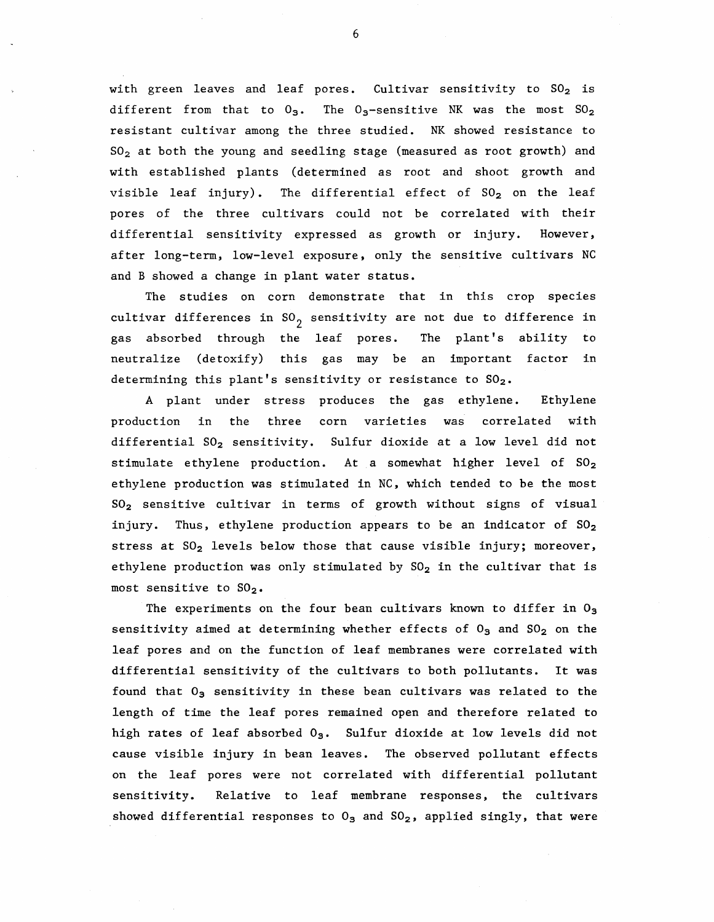with green leaves and leaf pores. Cultivar sensitivity to  $SO_2$  is different from that to  $0_3$ . The  $0_3$ -sensitive NK was the most  $SO_2$ resistant cultivar among the three studied. NK showed resistance to  $SO<sub>2</sub>$  at both the young and seedling stage (measured as root growth) and with established plants (determined as root and shoot growth and visible leaf injury). The differential effect of  $SO_2$  on the leaf pores of the three cultivars could not be correlated with their differential sensitivity expressed as growth or injury. However, after long-term, low-level exposure, only the sensitive cultivars NC and B showed a change in plant water status.

The studies on corn demonstrate that in this crop species cultivar differences in  $SO_2$  sensitivity are not due to difference in gas absorbed through the leaf pores. The plant's ability to neutralize (detoxify) this gas may be an important factor in determining this plant's sensitivity or resistance to  $SO_2$ .

A plant under stress produces the gas ethylene. Ethylene production in the three corn varieties was correlated with differential SO<sub>2</sub> sensitivity. Sulfur dioxide at a low level did not stimulate ethylene production. At a somewhat higher level of  $SO_2$ ethylene production was stimulated in NC, which tended to be the most S02 sensitive cultivar in terms of growth without signs of visual injury. Thus, ethylene production appears to be an indicator of  $SO_2$ stress at  $SO_2$  levels below those that cause visible injury; moreover, ethylene production was only stimulated by  $SO_2$  in the cultivar that is most sensitive to  $SO_2$ .

The experiments on the four bean cultivars known to differ in  $O_3$ sensitivity aimed at determining whether effects of  $O_3$  and  $SO_2$  on the leaf pores and on the function of leaf membranes were correlated with differential sensitivity of the cultivars to both pollutants. It was found that  $0_3$  sensitivity in these bean cultivars was related to the length of time the leaf pores remained open and therefore related to high rates of leaf absorbed  $0_3$ . Sulfur dioxide at low levels did not cause visible injury in bean leaves. The observed pollutant effects on the leaf pores were not correlated with differential pollutant sensitivity. Relative to leaf membrane responses, the cultivars showed differential responses to  $O_3$  and  $SO_2$ , applied singly, that were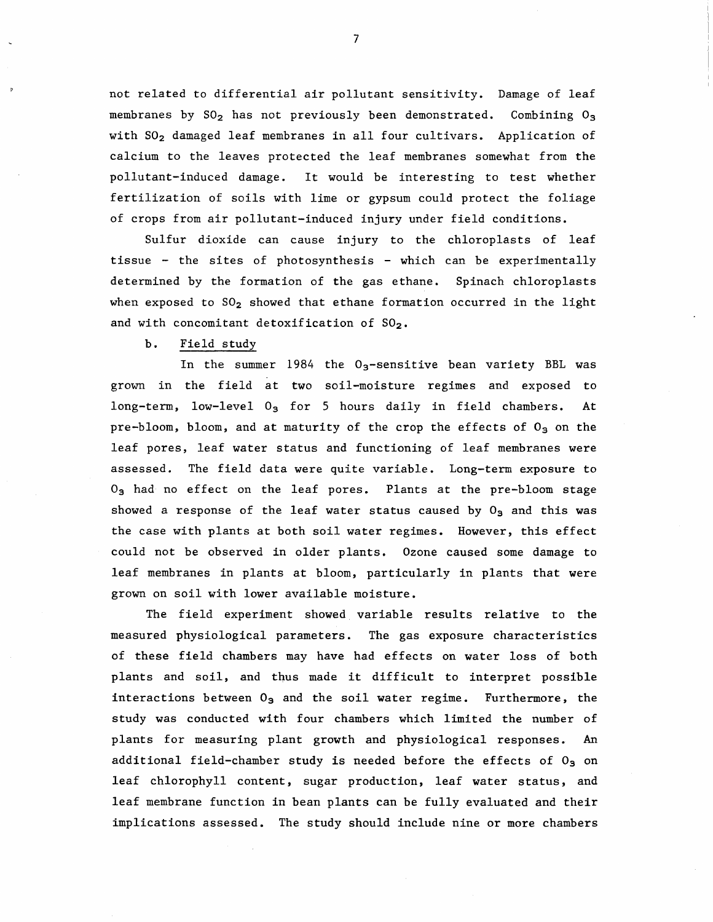not related to differential air pollutant sensitivity. Damage of leaf membranes by  $SO_2$  has not previously been demonstrated. Combining  $O_3$ with SO<sub>2</sub> damaged leaf membranes in all four cultivars. Application of calcium to the leaves protected the leaf membranes somewhat from the pollutant-induced damage. It would be interesting to test whether fertilization of soils with lime or gypsum could protect the foliage of crops from air pollutant-induced injury under field conditions.

Sulfur dioxide can cause injury to the chloroplasts of leaf tissue - the sites of photosynthesis - which can be experimentally determined by the formation of the gas ethane. Spinach chloroplasts when exposed to  $SO_2$  showed that ethane formation occurred in the light and with concomitant detoxification of  $SO_2$ .

### b. Field study

In the summer 1984 the  $0<sub>3</sub>$ -sensitive bean variety BBL was grown in the field at two soil-moisture regimes and exposed to long-term, low-level  $0<sub>3</sub>$  for 5 hours daily in field chambers. At pre-bloom, bloom, and at maturity of the crop the effects of  $O_3$  on the leaf pores, leaf water status and functioning of leaf membranes were assessed. The field data were quite variable. Long-term exposure to  $0<sub>3</sub>$  had no effect on the leaf pores. Plants at the pre-bloom stage showed a response of the leaf water status caused by  $O_3$  and this was the case with plants at both soil water regimes. However, this effect could not be observed in older plants. Ozone caused some damage to leaf membranes in plants at bloom, particularly in plants that were grown on soil with lower available moisture.

The field experiment showed. variable results relative to the measured physiological parameters. The gas exposure characteristics of these field chambers may have had effects on water loss of both plants and soil, and thus made it difficult to interpret possible interactions between  $0_3$  and the soil water regime. Furthermore, the study was conducted with four chambers which limited the number of plants for measuring plant growth and physiological responses. An additional field-chamber study is needed before the effects of  $0<sub>3</sub>$  on leaf chlorophyll content, sugar production, leaf water status, and leaf membrane function in bean plants can be fully evaluated and their implications assessed. The study should include nine or more chambers